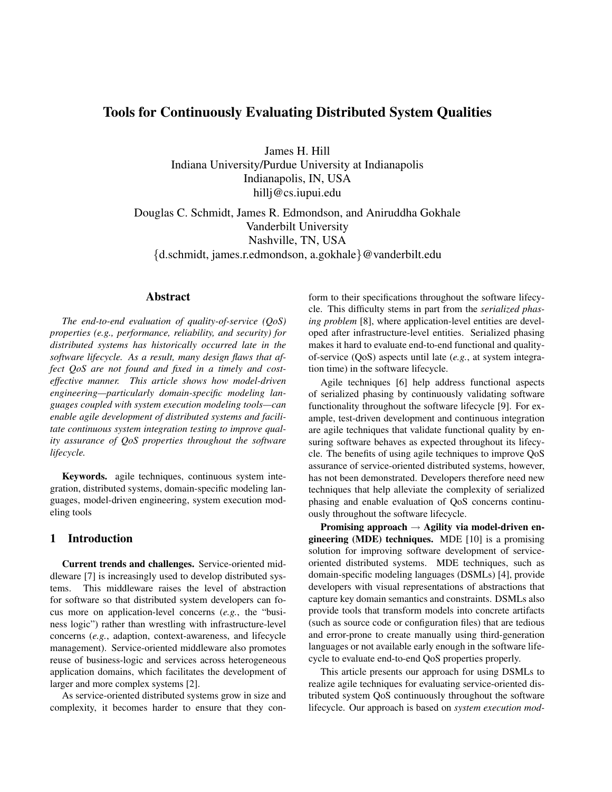# Tools for Continuously Evaluating Distributed System Qualities

James H. Hill

Indiana University/Purdue University at Indianapolis Indianapolis, IN, USA hillj@cs.iupui.edu

Douglas C. Schmidt, James R. Edmondson, and Aniruddha Gokhale Vanderbilt University Nashville, TN, USA

{d.schmidt, james.r.edmondson, a.gokhale}@vanderbilt.edu

## Abstract

*The end-to-end evaluation of quality-of-service (QoS) properties (e.g., performance, reliability, and security) for distributed systems has historically occurred late in the software lifecycle. As a result, many design flaws that affect QoS are not found and fixed in a timely and costeffective manner. This article shows how model-driven engineering—particularly domain-specific modeling languages coupled with system execution modeling tools—can enable agile development of distributed systems and facilitate continuous system integration testing to improve quality assurance of QoS properties throughout the software lifecycle.*

Keywords. agile techniques, continuous system integration, distributed systems, domain-specific modeling languages, model-driven engineering, system execution modeling tools

## 1 Introduction

Current trends and challenges. Service-oriented middleware [7] is increasingly used to develop distributed systems. This middleware raises the level of abstraction for software so that distributed system developers can focus more on application-level concerns (*e.g.*, the "business logic") rather than wrestling with infrastructure-level concerns (*e.g.*, adaption, context-awareness, and lifecycle management). Service-oriented middleware also promotes reuse of business-logic and services across heterogeneous application domains, which facilitates the development of larger and more complex systems [2].

As service-oriented distributed systems grow in size and complexity, it becomes harder to ensure that they conform to their specifications throughout the software lifecycle. This difficulty stems in part from the *serialized phasing problem* [8], where application-level entities are developed after infrastructure-level entities. Serialized phasing makes it hard to evaluate end-to-end functional and qualityof-service (QoS) aspects until late (*e.g.*, at system integration time) in the software lifecycle.

Agile techniques [6] help address functional aspects of serialized phasing by continuously validating software functionality throughout the software lifecycle [9]. For example, test-driven development and continuous integration are agile techniques that validate functional quality by ensuring software behaves as expected throughout its lifecycle. The benefits of using agile techniques to improve QoS assurance of service-oriented distributed systems, however, has not been demonstrated. Developers therefore need new techniques that help alleviate the complexity of serialized phasing and enable evaluation of QoS concerns continuously throughout the software lifecycle.

Promising approach  $\rightarrow$  Agility via model-driven engineering (MDE) techniques. MDE [10] is a promising solution for improving software development of serviceoriented distributed systems. MDE techniques, such as domain-specific modeling languages (DSMLs) [4], provide developers with visual representations of abstractions that capture key domain semantics and constraints. DSMLs also provide tools that transform models into concrete artifacts (such as source code or configuration files) that are tedious and error-prone to create manually using third-generation languages or not available early enough in the software lifecycle to evaluate end-to-end QoS properties properly.

This article presents our approach for using DSMLs to realize agile techniques for evaluating service-oriented distributed system QoS continuously throughout the software lifecycle. Our approach is based on *system execution mod-*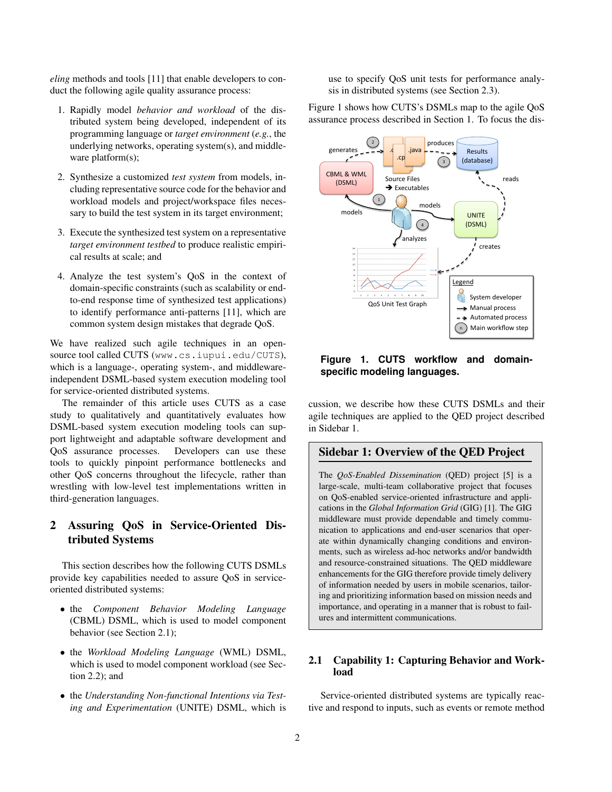*eling* methods and tools [11] that enable developers to conduct the following agile quality assurance process:

- 1. Rapidly model *behavior and workload* of the distributed system being developed, independent of its programming language or *target environment* (*e.g.*, the underlying networks, operating system(s), and middleware platform(s);
- 2. Synthesize a customized *test system* from models, including representative source code for the behavior and workload models and project/workspace files necessary to build the test system in its target environment;
- 3. Execute the synthesized test system on a representative *target environment testbed* to produce realistic empirical results at scale; and
- 4. Analyze the test system's QoS in the context of domain-specific constraints (such as scalability or endto-end response time of synthesized test applications) to identify performance anti-patterns [11], which are common system design mistakes that degrade QoS.

We have realized such agile techniques in an opensource tool called CUTS (www.cs.iupui.edu/CUTS), which is a language-, operating system-, and middlewareindependent DSML-based system execution modeling tool for service-oriented distributed systems.

The remainder of this article uses CUTS as a case study to qualitatively and quantitatively evaluates how DSML-based system execution modeling tools can support lightweight and adaptable software development and QoS assurance processes. Developers can use these tools to quickly pinpoint performance bottlenecks and other QoS concerns throughout the lifecycle, rather than wrestling with low-level test implementations written in third-generation languages.

# 2 Assuring QoS in Service-Oriented Distributed Systems

This section describes how the following CUTS DSMLs provide key capabilities needed to assure QoS in serviceoriented distributed systems:

- the *Component Behavior Modeling Language* (CBML) DSML, which is used to model component behavior (see Section 2.1);
- the *Workload Modeling Language* (WML) DSML, which is used to model component workload (see Section 2.2); and
- the *Understanding Non-functional Intentions via Testing and Experimentation* (UNITE) DSML, which is

use to specify QoS unit tests for performance analysis in distributed systems (see Section 2.3).

Figure 1 shows how CUTS's DSMLs map to the agile QoS assurance process described in Section 1. To focus the dis-



**Figure 1. CUTS workflow and domainspecific modeling languages.**

cussion, we describe how these CUTS DSMLs and their agile techniques are applied to the QED project described in Sidebar 1.

## Sidebar 1: Overview of the QED Project

The *QoS-Enabled Dissemination* (QED) project [5] is a large-scale, multi-team collaborative project that focuses on QoS-enabled service-oriented infrastructure and applications in the *Global Information Grid* (GIG) [1]. The GIG middleware must provide dependable and timely communication to applications and end-user scenarios that operate within dynamically changing conditions and environments, such as wireless ad-hoc networks and/or bandwidth and resource-constrained situations. The QED middleware enhancements for the GIG therefore provide timely delivery of information needed by users in mobile scenarios, tailoring and prioritizing information based on mission needs and importance, and operating in a manner that is robust to failures and intermittent communications.

## 2.1 Capability 1: Capturing Behavior and Workload

Service-oriented distributed systems are typically reactive and respond to inputs, such as events or remote method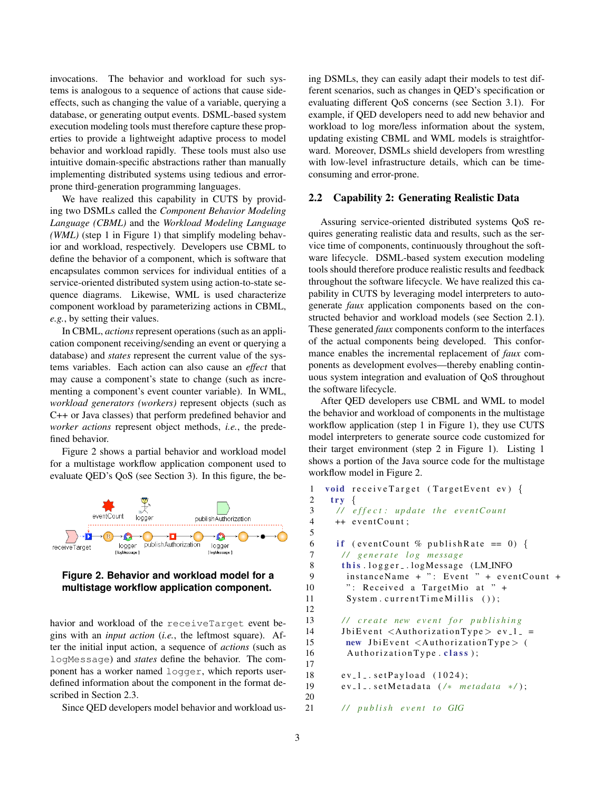invocations. The behavior and workload for such systems is analogous to a sequence of actions that cause sideeffects, such as changing the value of a variable, querying a database, or generating output events. DSML-based system execution modeling tools must therefore capture these properties to provide a lightweight adaptive process to model behavior and workload rapidly. These tools must also use intuitive domain-specific abstractions rather than manually implementing distributed systems using tedious and errorprone third-generation programming languages.

We have realized this capability in CUTS by providing two DSMLs called the *Component Behavior Modeling Language (CBML)* and the *Workload Modeling Language (WML)* (step 1 in Figure 1) that simplify modeling behavior and workload, respectively. Developers use CBML to define the behavior of a component, which is software that encapsulates common services for individual entities of a service-oriented distributed system using action-to-state sequence diagrams. Likewise, WML is used characterize component workload by parameterizing actions in CBML, *e.g.*, by setting their values.

In CBML, *actions* represent operations (such as an application component receiving/sending an event or querying a database) and *states* represent the current value of the systems variables. Each action can also cause an *effect* that may cause a component's state to change (such as incrementing a component's event counter variable). In WML, *workload generators (workers)* represent objects (such as C++ or Java classes) that perform predefined behavior and *worker actions* represent object methods, *i.e.*, the predefined behavior.

Figure 2 shows a partial behavior and workload model for a multistage workflow application component used to evaluate QED's QoS (see Section 3). In this figure, the be-





havior and workload of the receiveTarget event begins with an *input action* (*i.e.*, the leftmost square). After the initial input action, a sequence of *actions* (such as logMessage) and *states* define the behavior. The component has a worker named logger, which reports userdefined information about the component in the format described in Section 2.3.

Since QED developers model behavior and workload us-

ing DSMLs, they can easily adapt their models to test different scenarios, such as changes in QED's specification or evaluating different QoS concerns (see Section 3.1). For example, if QED developers need to add new behavior and workload to log more/less information about the system, updating existing CBML and WML models is straightforward. Moreover, DSMLs shield developers from wrestling with low-level infrastructure details, which can be timeconsuming and error-prone.

#### 2.2 Capability 2: Generating Realistic Data

Assuring service-oriented distributed systems QoS requires generating realistic data and results, such as the service time of components, continuously throughout the software lifecycle. DSML-based system execution modeling tools should therefore produce realistic results and feedback throughout the software lifecycle. We have realized this capability in CUTS by leveraging model interpreters to autogenerate *faux* application components based on the constructed behavior and workload models (see Section 2.1). These generated *faux* components conform to the interfaces of the actual components being developed. This conformance enables the incremental replacement of *faux* components as development evolves—thereby enabling continuous system integration and evaluation of QoS throughout the software lifecycle.

After QED developers use CBML and WML to model the behavior and workload of components in the multistage workflow application (step 1 in Figure 1), they use CUTS model interpreters to generate source code customized for their target environment (step 2 in Figure 1). Listing 1 shows a portion of the Java source code for the multistage workflow model in Figure 2.

```
1 void receive Target (Target Event ev) {
2 try {
3 / / e f f e c t : u p d at e t h e e v e ntC o u nt
4 + eventCount;
5
6 if (eventCount % publishRate == 0) {
7 / / g e n e r a t e l o g me s s a ge
8 this . logger _ . logMessage (LM_INFO)
9 instanceName + ": Event " + eventCount +
10 ": Received a TargetMio at " +
11 System.currentTimeMillis ());
12
13 // create new event for publishing
14 JbiEvent \langleAuthorizationType > ev_1_ =
15 new JbiEvent <AuthorizationType> (
16 Authorization Type. class);
17
18 \, ev_1_. set Payload (1024);19 ev<sub>-1-</sub>.setMetadata (/* metadata */);
20
21 / / p u b l i s h e v e n t t o GIG
```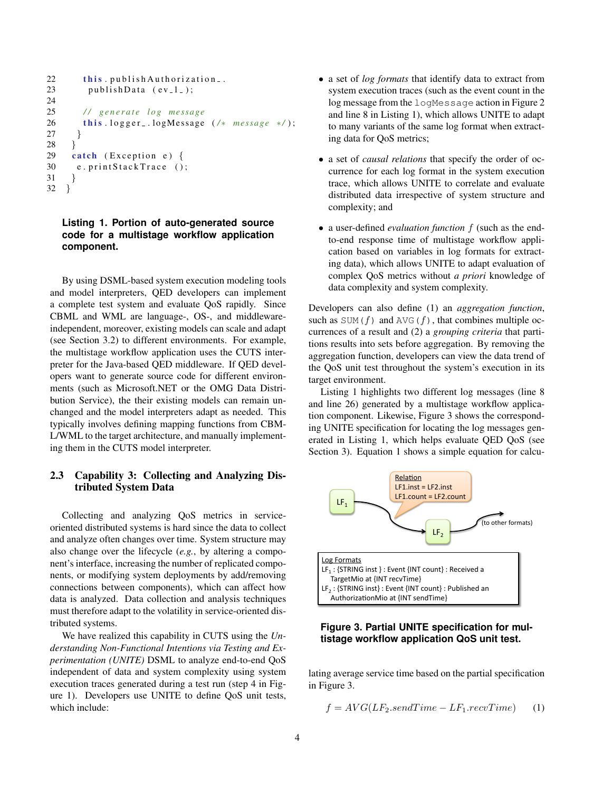```
22 this . publish Authorization _.
23 publishData (ev_1);
24
25 / / g e n e r a t e l o g me s s a ge
26 this . logger _ . logMessage (/* message */);
27 }
28 }
29 catch (Exception e) \{30 e. print Stack Trace ();
31 }
32 }
```
## **Listing 1. Portion of auto-generated source code for a multistage workflow application component.**

By using DSML-based system execution modeling tools and model interpreters, QED developers can implement a complete test system and evaluate QoS rapidly. Since CBML and WML are language-, OS-, and middlewareindependent, moreover, existing models can scale and adapt (see Section 3.2) to different environments. For example, the multistage workflow application uses the CUTS interpreter for the Java-based QED middleware. If QED developers want to generate source code for different environments (such as Microsoft.NET or the OMG Data Distribution Service), the their existing models can remain unchanged and the model interpreters adapt as needed. This typically involves defining mapping functions from CBM-L/WML to the target architecture, and manually implementing them in the CUTS model interpreter.

## 2.3 Capability 3: Collecting and Analyzing Distributed System Data

Collecting and analyzing QoS metrics in serviceoriented distributed systems is hard since the data to collect and analyze often changes over time. System structure may also change over the lifecycle (*e.g.*, by altering a component's interface, increasing the number of replicated components, or modifying system deployments by add/removing connections between components), which can affect how data is analyzed. Data collection and analysis techniques must therefore adapt to the volatility in service-oriented distributed systems.

We have realized this capability in CUTS using the *Understanding Non-Functional Intentions via Testing and Experimentation (UNITE)* DSML to analyze end-to-end QoS independent of data and system complexity using system execution traces generated during a test run (step 4 in Figure 1). Developers use UNITE to define QoS unit tests, which include:

- a set of *log formats* that identify data to extract from system execution traces (such as the event count in the log message from the logMessage action in Figure 2 and line 8 in Listing 1), which allows UNITE to adapt to many variants of the same log format when extracting data for QoS metrics;
- a set of *causal relations* that specify the order of occurrence for each log format in the system execution trace, which allows UNITE to correlate and evaluate distributed data irrespective of system structure and complexity; and
- a user-defined *evaluation function* f (such as the endto-end response time of multistage workflow application based on variables in log formats for extracting data), which allows UNITE to adapt evaluation of complex QoS metrics without *a priori* knowledge of data complexity and system complexity.

Developers can also define (1) an *aggregation function*, such as  $SUM(f)$  and  $AVG(f)$ , that combines multiple occurrences of a result and (2) a *grouping criteria* that partitions results into sets before aggregation. By removing the aggregation function, developers can view the data trend of the QoS unit test throughout the system's execution in its target environment.

Listing 1 highlights two different log messages (line 8 and line 26) generated by a multistage workflow application component. Likewise, Figure 3 shows the corresponding UNITE specification for locating the log messages generated in Listing 1, which helps evaluate QED QoS (see Section 3). Equation 1 shows a simple equation for calcu-



### **Figure 3. Partial UNITE specification for multistage workflow application QoS unit test.**

lating average service time based on the partial specification in Figure 3.

$$
f = AVG(LF_2.sendTime - LF_1.recvTime)
$$
 (1)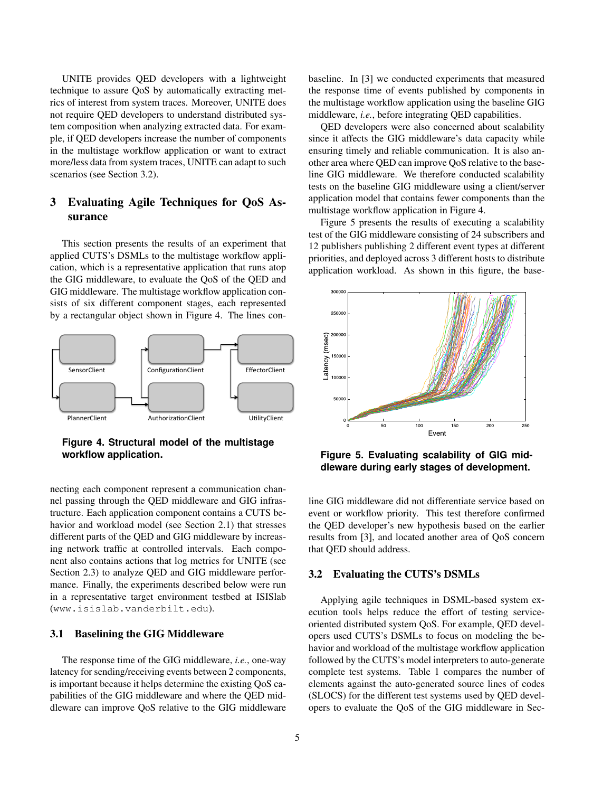UNITE provides QED developers with a lightweight technique to assure QoS by automatically extracting metrics of interest from system traces. Moreover, UNITE does not require QED developers to understand distributed system composition when analyzing extracted data. For example, if QED developers increase the number of components in the multistage workflow application or want to extract more/less data from system traces, UNITE can adapt to such scenarios (see Section 3.2).

# 3 Evaluating Agile Techniques for QoS Assurance

This section presents the results of an experiment that applied CUTS's DSMLs to the multistage workflow application, which is a representative application that runs atop the GIG middleware, to evaluate the QoS of the QED and GIG middleware. The multistage workflow application consists of six different component stages, each represented by a rectangular object shown in Figure 4. The lines con-



**Figure 4. Structural model of the multistage workflow application.**

necting each component represent a communication channel passing through the QED middleware and GIG infrastructure. Each application component contains a CUTS behavior and workload model (see Section 2.1) that stresses different parts of the QED and GIG middleware by increasing network traffic at controlled intervals. Each component also contains actions that log metrics for UNITE (see Section 2.3) to analyze QED and GIG middleware performance. Finally, the experiments described below were run in a representative target environment testbed at ISISlab (www.isislab.vanderbilt.edu).

### 3.1 Baselining the GIG Middleware

The response time of the GIG middleware, *i.e.*, one-way latency for sending/receiving events between 2 components, is important because it helps determine the existing QoS capabilities of the GIG middleware and where the QED middleware can improve QoS relative to the GIG middleware baseline. In [3] we conducted experiments that measured the response time of events published by components in the multistage workflow application using the baseline GIG middleware, *i.e.*, before integrating QED capabilities.

QED developers were also concerned about scalability since it affects the GIG middleware's data capacity while ensuring timely and reliable communication. It is also another area where QED can improve QoS relative to the baseline GIG middleware. We therefore conducted scalability tests on the baseline GIG middleware using a client/server application model that contains fewer components than the multistage workflow application in Figure 4.

Figure 5 presents the results of executing a scalability test of the GIG middleware consisting of 24 subscribers and 12 publishers publishing 2 different event types at different priorities, and deployed across 3 different hosts to distribute application workload. As shown in this figure, the base-



**Figure 5. Evaluating scalability of GIG middleware during early stages of development.**

line GIG middleware did not differentiate service based on event or workflow priority. This test therefore confirmed the QED developer's new hypothesis based on the earlier results from [3], and located another area of QoS concern that QED should address.

#### 3.2 Evaluating the CUTS's DSMLs

Applying agile techniques in DSML-based system execution tools helps reduce the effort of testing serviceoriented distributed system QoS. For example, QED developers used CUTS's DSMLs to focus on modeling the behavior and workload of the multistage workflow application followed by the CUTS's model interpreters to auto-generate complete test systems. Table 1 compares the number of elements against the auto-generated source lines of codes (SLOCS) for the different test systems used by QED developers to evaluate the QoS of the GIG middleware in Sec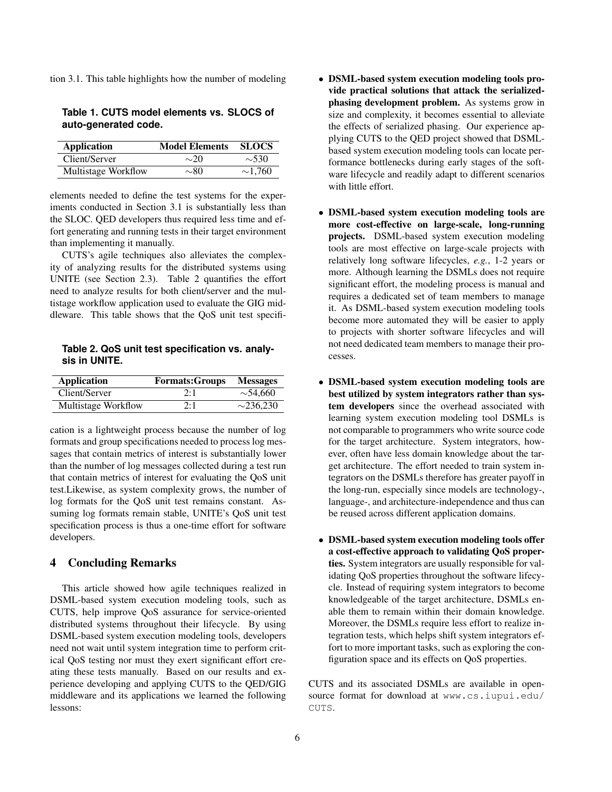tion 3.1. This table highlights how the number of modeling

| Table 1. CUTS model elements vs. SLOCS of |  |  |
|-------------------------------------------|--|--|
| auto-generated code.                      |  |  |

| Application         | <b>Model Elements</b> | <b>SLOCS</b> |
|---------------------|-----------------------|--------------|
| Client/Server       | $\sim 20$             | $\sim$ 530   |
| Multistage Workflow | $\sim$ 80             | $\sim$ 1.760 |

elements needed to define the test systems for the experiments conducted in Section 3.1 is substantially less than the SLOC. QED developers thus required less time and effort generating and running tests in their target environment than implementing it manually.

CUTS's agile techniques also alleviates the complexity of analyzing results for the distributed systems using UNITE (see Section 2.3). Table 2 quantifies the effort need to analyze results for both client/server and the multistage workflow application used to evaluate the GIG middleware. This table shows that the QoS unit test specifi-

**Table 2. QoS unit test specification vs. analysis in UNITE.**

| <b>Application</b>  | <b>Formats: Groups</b> | <b>Messages</b> |
|---------------------|------------------------|-----------------|
| Client/Server       | 2:1                    | $\sim$ 54.660   |
| Multistage Workflow | 2:1                    | $\sim$ 236.230  |

cation is a lightweight process because the number of log formats and group specifications needed to process log messages that contain metrics of interest is substantially lower than the number of log messages collected during a test run that contain metrics of interest for evaluating the QoS unit test.Likewise, as system complexity grows, the number of log formats for the QoS unit test remains constant. Assuming log formats remain stable, UNITE's QoS unit test specification process is thus a one-time effort for software developers.

## 4 Concluding Remarks

This article showed how agile techniques realized in DSML-based system execution modeling tools, such as CUTS, help improve QoS assurance for service-oriented distributed systems throughout their lifecycle. By using DSML-based system execution modeling tools, developers need not wait until system integration time to perform critical QoS testing nor must they exert significant effort creating these tests manually. Based on our results and experience developing and applying CUTS to the QED/GIG middleware and its applications we learned the following lessons:

- DSML-based system execution modeling tools provide practical solutions that attack the serializedphasing development problem. As systems grow in size and complexity, it becomes essential to alleviate the effects of serialized phasing. Our experience applying CUTS to the QED project showed that DSMLbased system execution modeling tools can locate performance bottlenecks during early stages of the software lifecycle and readily adapt to different scenarios with little effort.
- DSML-based system execution modeling tools are more cost-effective on large-scale, long-running projects. DSML-based system execution modeling tools are most effective on large-scale projects with relatively long software lifecycles, *e.g.*, 1-2 years or more. Although learning the DSMLs does not require significant effort, the modeling process is manual and requires a dedicated set of team members to manage it. As DSML-based system execution modeling tools become more automated they will be easier to apply to projects with shorter software lifecycles and will not need dedicated team members to manage their processes.
- DSML-based system execution modeling tools are best utilized by system integrators rather than system developers since the overhead associated with learning system execution modeling tool DSMLs is not comparable to programmers who write source code for the target architecture. System integrators, however, often have less domain knowledge about the target architecture. The effort needed to train system integrators on the DSMLs therefore has greater payoff in the long-run, especially since models are technology-, language-, and architecture-independence and thus can be reused across different application domains.
- DSML-based system execution modeling tools offer a cost-effective approach to validating QoS properties. System integrators are usually responsible for validating QoS properties throughout the software lifecycle. Instead of requiring system integrators to become knowledgeable of the target architecture, DSMLs enable them to remain within their domain knowledge. Moreover, the DSMLs require less effort to realize integration tests, which helps shift system integrators effort to more important tasks, such as exploring the configuration space and its effects on QoS properties.

CUTS and its associated DSMLs are available in opensource format for download at www.cs.iupui.edu/ CUTS.